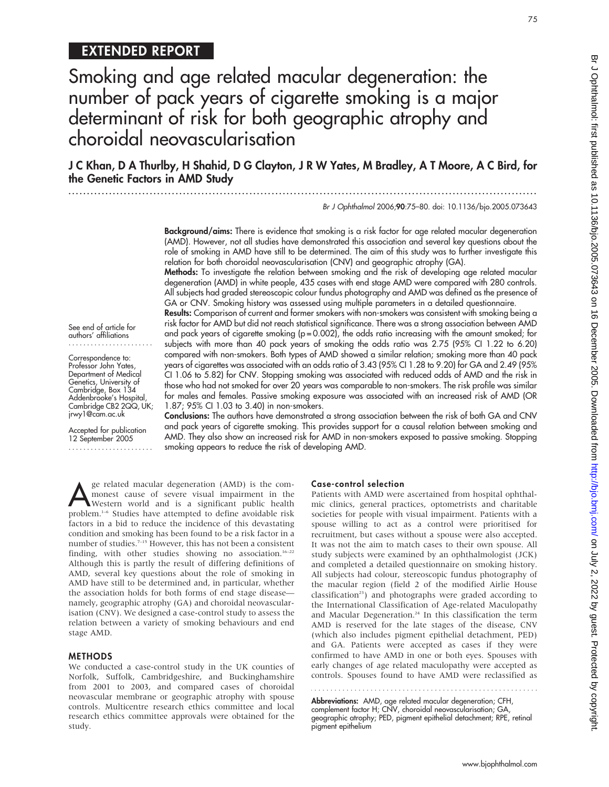# EXTENDED REPORT

Smoking and age related macular degeneration: the number of pack years of cigarette smoking is a major determinant of risk for both geographic atrophy and choroidal neovascularisation

J C Khan, D A Thurlby, H Shahid, D G Clayton, J R W Yates, M Bradley, A T Moore, A C Bird, for the Genetic Factors in AMD Study ...............................................................................................................................

Br J Ophthalmol 2006;90:75–80. doi: 10.1136/bjo.2005.073643

Background/aims: There is evidence that smoking is a risk factor for age related macular degeneration (AMD). However, not all studies have demonstrated this association and several key questions about the role of smoking in AMD have still to be determined. The aim of this study was to further investigate this relation for both choroidal neovascularisation (CNV) and geographic atrophy (GA).

Methods: To investigate the relation between smoking and the risk of developing age related macular degeneration (AMD) in white people, 435 cases with end stage AMD were compared with 280 controls. All subjects had graded stereoscopic colour fundus photography and AMD was defined as the presence of GA or CNV. Smoking history was assessed using multiple parameters in a detailed questionnaire.

See end of article for authors' affiliations ....................... Correspondence to: Professor John Yates, Department of Medical Genetics, University of Cambridge, Box 134 Results: Comparison of current and former smokers with non-smokers was consistent with smoking being a risk factor for AMD but did not reach statistical significance. There was a strong association between AMD and pack years of cigarette smoking  $(p = 0.002)$ , the odds ratio increasing with the amount smoked; for subjects with more than 40 pack years of smoking the odds ratio was 2.75 (95% CI 1.22 to 6.20) compared with non-smokers. Both types of AMD showed a similar relation; smoking more than 40 pack years of cigarettes was associated with an odds ratio of 3.43 (95% CI 1.28 to 9.20) for GA and 2.49 (95% CI 1.06 to 5.82) for CNV. Stopping smoking was associated with reduced odds of AMD and the risk in those who had not smoked for over 20 years was comparable to non-smokers. The risk profile was similar

for males and females. Passive smoking exposure was associated with an increased risk of AMD (OR 1.87; 95% CI 1.03 to 3.40) in non-smokers.

Conclusions: The authors have demonstrated a strong association between the risk of both GA and CNV and pack years of cigarette smoking. This provides support for a causal relation between smoking and AMD. They also show an increased risk for AMD in non-smokers exposed to passive smoking. Stopping smoking appears to reduce the risk of developing AMD.

See related macular degeneration (AMD) is the com-<br>
Western world and is a significant public health<br>
problem <sup>1-6</sup> Studies have attempted to define avaidable rick monest cause of severe visual impairment in the problem.<sup>1-6</sup> Studies have attempted to define avoidable risk factors in a bid to reduce the incidence of this devastating condition and smoking has been found to be a risk factor in a number of studies.<sup>7-15</sup> However, this has not been a consistent finding, with other studies showing no association.<sup>16-22</sup> Although this is partly the result of differing definitions of AMD, several key questions about the role of smoking in AMD have still to be determined and, in particular, whether the association holds for both forms of end stage disease namely, geographic atrophy (GA) and choroidal neovascularisation (CNV). We designed a case-control study to assess the relation between a variety of smoking behaviours and end stage AMD.

#### METHODS

Addenbrooke's Hospital, Cambridge CB2 2QQ, UK; jrwy1@cam.ac.uk Accepted for publication 12 September 2005 .......................

We conducted a case-control study in the UK counties of Norfolk, Suffolk, Cambridgeshire, and Buckinghamshire from 2001 to 2003, and compared cases of choroidal neovascular membrane or geographic atrophy with spouse controls. Multicentre research ethics committee and local research ethics committee approvals were obtained for the study.

#### Case-control selection

Patients with AMD were ascertained from hospital ophthalmic clinics, general practices, optometrists and charitable societies for people with visual impairment. Patients with a spouse willing to act as a control were prioritised for recruitment, but cases without a spouse were also accepted. It was not the aim to match cases to their own spouse. All study subjects were examined by an ophthalmologist (JCK) and completed a detailed questionnaire on smoking history. All subjects had colour, stereoscopic fundus photography of the macular region (field 2 of the modified Airlie House classification<sup>23</sup>) and photographs were graded according to the International Classification of Age-related Maculopathy and Macular Degeneration.<sup>24</sup> In this classification the term AMD is reserved for the late stages of the disease, CNV (which also includes pigment epithelial detachment, PED) and GA. Patients were accepted as cases if they were confirmed to have AMD in one or both eyes. Spouses with early changes of age related maculopathy were accepted as controls. Spouses found to have AMD were reclassified as

Abbreviations: AMD, age related macular degeneration; CFH, complement factor H; CNV, choroidal neovascularisation; GA, geographic atrophy; PED, pigment epithelial detachment; RPE, retinal pigment epithelium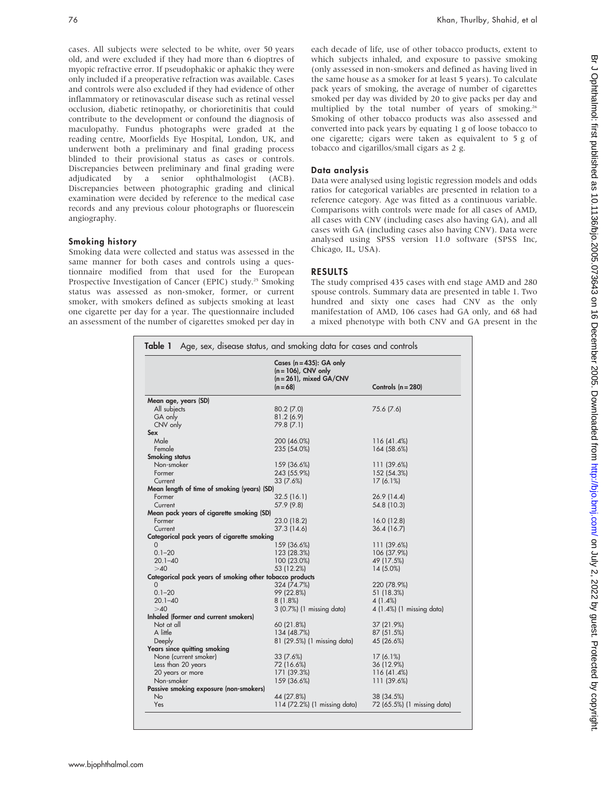cases. All subjects were selected to be white, over 50 years old, and were excluded if they had more than 6 dioptres of myopic refractive error. If pseudophakic or aphakic they were only included if a preoperative refraction was available. Cases and controls were also excluded if they had evidence of other inflammatory or retinovascular disease such as retinal vessel occlusion, diabetic retinopathy, or chorioretinitis that could contribute to the development or confound the diagnosis of maculopathy. Fundus photographs were graded at the reading centre, Moorfields Eye Hospital, London, UK, and underwent both a preliminary and final grading process blinded to their provisional status as cases or controls. Discrepancies between preliminary and final grading were adjudicated by a senior ophthalmologist (ACB). Discrepancies between photographic grading and clinical examination were decided by reference to the medical case records and any previous colour photographs or fluorescein angiography.

# Smoking history

Smoking data were collected and status was assessed in the same manner for both cases and controls using a questionnaire modified from that used for the European Prospective Investigation of Cancer (EPIC) study.<sup>25</sup> Smoking status was assessed as non-smoker, former, or current smoker, with smokers defined as subjects smoking at least one cigarette per day for a year. The questionnaire included an assessment of the number of cigarettes smoked per day in each decade of life, use of other tobacco products, extent to which subjects inhaled, and exposure to passive smoking (only assessed in non-smokers and defined as having lived in the same house as a smoker for at least 5 years). To calculate pack years of smoking, the average of number of cigarettes smoked per day was divided by 20 to give packs per day and multiplied by the total number of years of smoking.<sup>26</sup> Smoking of other tobacco products was also assessed and converted into pack years by equating 1 g of loose tobacco to one cigarette; cigars were taken as equivalent to 5 g of tobacco and cigarillos/small cigars as 2 g.

# Data analysis

Data were analysed using logistic regression models and odds ratios for categorical variables are presented in relation to a reference category. Age was fitted as a continuous variable. Comparisons with controls were made for all cases of AMD, all cases with CNV (including cases also having GA), and all cases with GA (including cases also having CNV). Data were analysed using SPSS version 11.0 software (SPSS Inc, Chicago, IL, USA).

### RESULTS

The study comprised 435 cases with end stage AMD and 280 spouse controls. Summary data are presented in table 1. Two hundred and sixty one cases had CNV as the only manifestation of AMD, 106 cases had GA only, and 68 had a mixed phenotype with both CNV and GA present in the

|                                                          | Cases $(n = 435)$ : GA only<br>$(n = 106)$ , CNV only<br>$(n = 261)$ , mixed GA/CNV<br>$(n = 68)$ | Controls $(n = 280)$        |
|----------------------------------------------------------|---------------------------------------------------------------------------------------------------|-----------------------------|
| Mean age, years (SD)                                     |                                                                                                   |                             |
| All subjects                                             | 80.2(7.0)                                                                                         | 75.6 (7.6)                  |
| GA only                                                  | 81.2(6.9)                                                                                         |                             |
| CNV only                                                 | 79.8 (7.1)                                                                                        |                             |
| Sex                                                      |                                                                                                   |                             |
| Male                                                     | 200 (46.0%)                                                                                       | 116(41.4%)                  |
| Female                                                   | 235 (54.0%)                                                                                       | 164 (58.6%)                 |
| <b>Smoking status</b>                                    |                                                                                                   |                             |
| Non-smoker                                               | 159 (36.6%)                                                                                       | 111 (39.6%)                 |
| Former                                                   | 243 (55.9%)                                                                                       | 152 (54.3%)                 |
| Current                                                  | 33 (7.6%)                                                                                         | 17(6.1%)                    |
|                                                          |                                                                                                   |                             |
| Mean length of time of smoking (years) (SD)<br>Former    |                                                                                                   |                             |
| Current                                                  | 32.5(16.1)                                                                                        | 26.9 (14.4)                 |
|                                                          | 57.9 (9.8)                                                                                        | 54.8 (10.3)                 |
| Mean pack years of cigarette smoking (SD)<br>Former      |                                                                                                   |                             |
|                                                          | 23.0 (18.2)                                                                                       | 16.0(12.8)                  |
| Current                                                  | 37.3 (14.6)                                                                                       | 36.4 (16.7)                 |
| Categorical pack years of cigarette smoking              |                                                                                                   |                             |
| $\mathbf{0}$                                             | 159 (36.6%)                                                                                       | 111 (39.6%)                 |
| $0.1 - 20$                                               | 123 (28.3%)                                                                                       | 106 (37.9%)                 |
| $20.1 - 40$                                              | 100 (23.0%)                                                                                       | 49 (17.5%)                  |
| >40                                                      | 53 (12.2%)                                                                                        | 14 (5.0%)                   |
| Categorical pack years of smoking other tobacco products |                                                                                                   |                             |
| $\mathbf{0}$                                             | 324 (74.7%)                                                                                       | 220 (78.9%)                 |
| $0.1 - 20$                                               | 99 (22.8%)                                                                                        | 51 (18.3%)                  |
| $20.1 - 40$                                              | 8 (1.8%)                                                                                          | 4 (1.4%)                    |
| >40                                                      | 3 (0.7%) (1 missing data)                                                                         | 4 (1.4%) (1 missing data)   |
| Inhaled (former and current smokers)                     |                                                                                                   |                             |
| Not at all                                               | 60 (21.8%)                                                                                        | 37 (21.9%)                  |
| A little                                                 | 134 (48.7%)                                                                                       | 87 (51.5%)                  |
| Deeply                                                   | 81 (29.5%) (1 missing data)                                                                       | 45 (26.6%)                  |
| Years since quitting smoking                             |                                                                                                   |                             |
| None (current smoker)                                    | 33 (7.6%)                                                                                         | 17(6.1%)                    |
| Less than 20 years                                       | 72 (16.6%)                                                                                        | 36 (12.9%)                  |
| 20 years or more                                         | 171 (39.3%)                                                                                       | 116(41.4%)                  |
| Non-smoker                                               | 159 (36.6%)                                                                                       | 111 (39.6%)                 |
| Passive smoking exposure (non-smokers)                   |                                                                                                   |                             |
| <b>No</b>                                                | 44 (27.8%)                                                                                        | 38 (34.5%)                  |
| Yes                                                      | 114 (72.2%) (1 missing data)                                                                      | 72 (65.5%) (1 missing data) |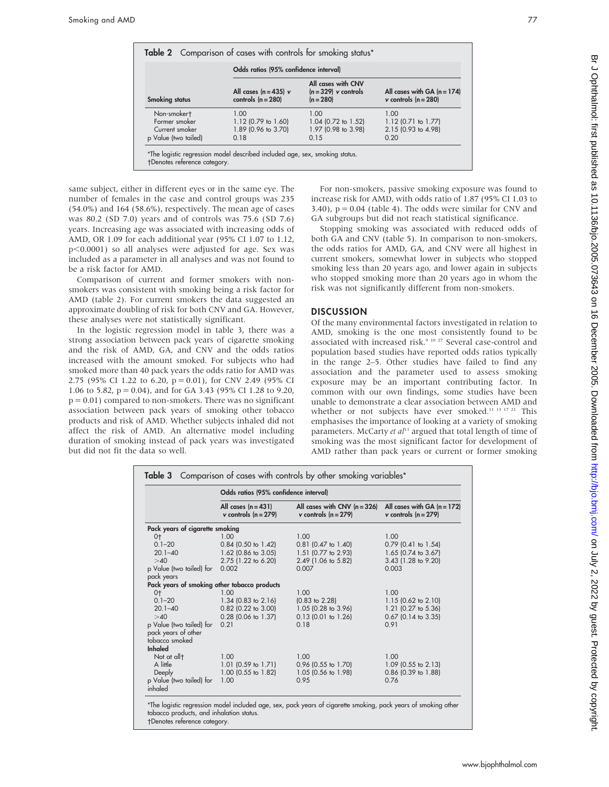| <b>Smoking status</b> | Odds ratios (95% confidence interval)         |                                                             |                                                           |  |
|-----------------------|-----------------------------------------------|-------------------------------------------------------------|-----------------------------------------------------------|--|
|                       | All cases $(n=435)$ v<br>controls $(n = 280)$ | All cases with CNV<br>$(n = 329)$ v controls<br>$(n = 280)$ | All cases with GA $(n = 174)$<br>$v$ controls $(n = 280)$ |  |
| Non-smokert           | 1.00                                          | 1.00                                                        | 1.00                                                      |  |
| Former smoker         | 1.12 (0.79 to 1.60)                           | 1.04 (0.72 to 1.52)                                         | 1.12 (0.71 to 1.77)                                       |  |
| Current smoker        | 1.89 (0.96 to 3.70)                           | 1.97 (0.98 to 3.98)                                         | 2.15 (0.93 to 4.98)                                       |  |
| p Value (two tailed)  | 0.18                                          | 0.15                                                        | 0.20                                                      |  |

same subject, either in different eyes or in the same eye. The number of females in the case and control groups was 235 (54.0%) and 164 (58.6%), respectively. The mean age of cases was 80.2 (SD 7.0) years and of controls was 75.6 (SD 7.6) years. Increasing age was associated with increasing odds of AMD, OR 1.09 for each additional year (95% CI 1.07 to 1.12,  $p<0.0001$ ) so all analyses were adjusted for age. Sex was included as a parameter in all analyses and was not found to be a risk factor for AMD.

Comparison of current and former smokers with nonsmokers was consistent with smoking being a risk factor for AMD (table 2). For current smokers the data suggested an approximate doubling of risk for both CNV and GA. However, these analyses were not statistically significant.

In the logistic regression model in table 3, there was a strong association between pack years of cigarette smoking and the risk of AMD, GA, and CNV and the odds ratios increased with the amount smoked. For subjects who had smoked more than 40 pack years the odds ratio for AMD was 2.75 (95% CI 1.22 to 6.20,  $p = 0.01$ ), for CNV 2.49 (95% CI 1.06 to 5.82, p = 0.04), and for GA 3.43 (95% CI 1.28 to 9.20,  $p = 0.01$ ) compared to non-smokers. There was no significant association between pack years of smoking other tobacco products and risk of AMD. Whether subjects inhaled did not affect the risk of AMD. An alternative model including duration of smoking instead of pack years was investigated but did not fit the data so well.

For non-smokers, passive smoking exposure was found to increase risk for AMD, with odds ratio of 1.87 (95% CI 1.03 to 3.40),  $p = 0.04$  (table 4). The odds were similar for CNV and GA subgroups but did not reach statistical significance.

Stopping smoking was associated with reduced odds of both GA and CNV (table 5). In comparison to non-smokers, the odds ratios for AMD, GA, and CNV were all highest in current smokers, somewhat lower in subjects who stopped smoking less than 20 years ago, and lower again in subjects who stopped smoking more than 20 years ago in whom the risk was not significantly different from non-smokers.

### **DISCUSSION**

Of the many environmental factors investigated in relation to AMD, smoking is the one most consistently found to be associated with increased risk.<sup>9 10 27</sup> Several case-control and population based studies have reported odds ratios typically in the range 2–5. Other studies have failed to find any association and the parameter used to assess smoking exposure may be an important contributing factor. In common with our own findings, some studies have been unable to demonstrate a clear association between AMD and whether or not subjects have ever smoked.<sup>11 13 17 21</sup> This emphasises the importance of looking at a variety of smoking parameters. McCarty et al<sup>11</sup> argued that total length of time of smoking was the most significant factor for development of AMD rather than pack years or current or former smoking

|                                              | Odds ratios (95% confidence interval)         |                                                          |                                                         |  |
|----------------------------------------------|-----------------------------------------------|----------------------------------------------------------|---------------------------------------------------------|--|
|                                              | All cases $(n=431)$<br>v controls $(n = 279)$ | All cases with CNV $(n = 326)$<br>v controls $(n = 279)$ | All cases with GA $(n = 172)$<br>v controls $(n = 279)$ |  |
| Pack years of cigarette smoking              |                                               |                                                          |                                                         |  |
| 0 <sub>0</sub>                               | 1.00                                          | 1.00                                                     | 1.00                                                    |  |
| $0.1 - 20$                                   | $0.84$ (0.50 to 1.42)                         | $0.81$ (0.47 to 1.40)                                    | $0.79$ (0.41 to 1.54)                                   |  |
| $20.1 - 40$                                  | 1.62 (0.86 to 3.05)                           | 1.51 (0.77 to 2.93)                                      | 1.65 (0.74 to 3.67)                                     |  |
| >40                                          | 2.75 (1.22 to 6.20)                           | 2.49 (1.06 to 5.82)                                      | 3.43 (1.28 to 9.20)                                     |  |
| p Value (two tailed) for                     | 0.002                                         | 0.007                                                    | 0.003                                                   |  |
| pack years                                   |                                               |                                                          |                                                         |  |
| Pack years of smoking other tobacco products |                                               |                                                          |                                                         |  |
| $0+$                                         | 1.00                                          | 1.00                                                     | 1.00                                                    |  |
| $0.1 - 20$                                   | $1.34$ (0.83 to 2.16)                         | $(0.83 \text{ to } 2.28)$                                | 1.15 $(0.62 \text{ to } 2.10)$                          |  |
| $20.1 - 40$                                  | $0.82$ (0.22 to 3.00)                         | 1.05 (0.28 to 3.96)                                      | 1.21 (0.27 to 5.36)                                     |  |
| >40                                          | $0.28$ (0.06 to 1.37)                         | $0.13$ (0.01 to 1.26)                                    | $0.67$ (0.14 to 3.35)                                   |  |
| p Value (two tailed) for                     | 0.21                                          | 0.18                                                     | 0.91                                                    |  |
| pack years of other<br>tobacco smoked        |                                               |                                                          |                                                         |  |
| <b>Inhaled</b>                               |                                               |                                                          |                                                         |  |
| Not at allt                                  | 1.00                                          | 1.00                                                     | 1.00                                                    |  |
| A little                                     | 1.01 (0.59 to 1.71)                           | $0.96$ (0.55 to 1.70)                                    | 1.09 (0.55 to 2.13)                                     |  |
| Deeply                                       | 1.00 (0.55 to 1.82)                           | 1.05 (0.56 to 1.98)                                      | $0.86$ (0.39 to 1.88)                                   |  |
| p Value (two tailed) for                     | 1.00                                          | 0.95                                                     | 0.76                                                    |  |
| inhaled                                      |                                               |                                                          |                                                         |  |

\*The logistic regression model included age, sex, pack years of cigarette smoking, pack years of smoking other tobacco products, and inhalation status. Denotes reference category.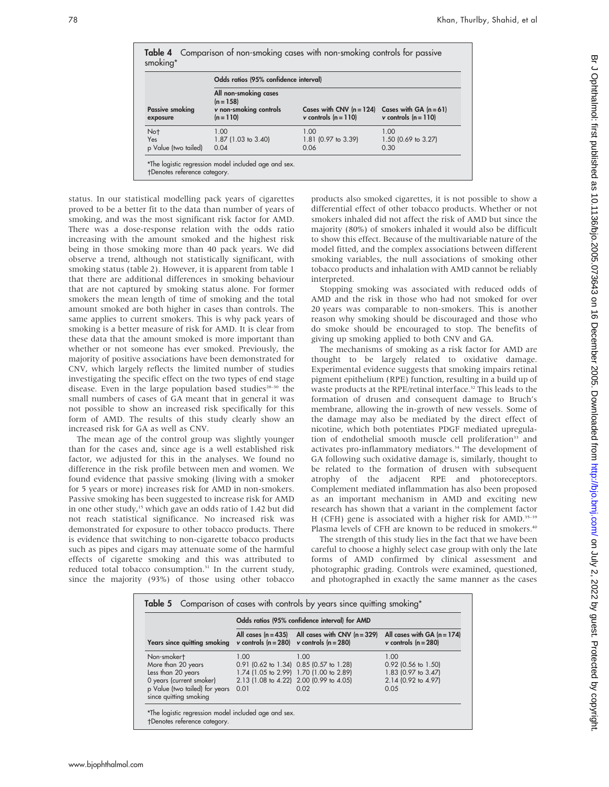|                                    | Odds ratios (95% confidence interval)                                         |                                                                               |                                     |  |
|------------------------------------|-------------------------------------------------------------------------------|-------------------------------------------------------------------------------|-------------------------------------|--|
| <b>Passive smoking</b><br>exposure | All non-smoking cases<br>$(n = 158)$<br>v non-smoking controls<br>$(n = 110)$ | Cases with CNV $(n = 124)$ Cases with GA $(n = 61)$<br>v controls $(n = 110)$ | v controls $(n = 110)$              |  |
| Not<br>Yes<br>p Value (two tailed) | 1.00<br>1.87 (1.03 to 3.40)<br>0.04                                           | 1.00<br>1.81 (0.97 to 3.39)<br>0.06                                           | 1.00<br>1.50 (0.69 to 3.27)<br>0.30 |  |

status. In our statistical modelling pack years of cigarettes proved to be a better fit to the data than number of years of smoking, and was the most significant risk factor for AMD. There was a dose-response relation with the odds ratio increasing with the amount smoked and the highest risk being in those smoking more than 40 pack years. We did observe a trend, although not statistically significant, with smoking status (table 2). However, it is apparent from table 1 that there are additional differences in smoking behaviour that are not captured by smoking status alone. For former smokers the mean length of time of smoking and the total amount smoked are both higher in cases than controls. The same applies to current smokers. This is why pack years of smoking is a better measure of risk for AMD. It is clear from these data that the amount smoked is more important than whether or not someone has ever smoked. Previously, the majority of positive associations have been demonstrated for CNV, which largely reflects the limited number of studies investigating the specific effect on the two types of end stage disease. Even in the large population based studies<sup>28-30</sup> the small numbers of cases of GA meant that in general it was not possible to show an increased risk specifically for this form of AMD. The results of this study clearly show an increased risk for GA as well as CNV.

The mean age of the control group was slightly younger than for the cases and, since age is a well established risk factor, we adjusted for this in the analyses. We found no difference in the risk profile between men and women. We found evidence that passive smoking (living with a smoker for 5 years or more) increases risk for AMD in non-smokers. Passive smoking has been suggested to increase risk for AMD in one other study, $15$  which gave an odds ratio of 1.42 but did not reach statistical significance. No increased risk was demonstrated for exposure to other tobacco products. There is evidence that switching to non-cigarette tobacco products such as pipes and cigars may attenuate some of the harmful effects of cigarette smoking and this was attributed to reduced total tobacco consumption.<sup>31</sup> In the current study, since the majority (93%) of those using other tobacco products also smoked cigarettes, it is not possible to show a differential effect of other tobacco products. Whether or not smokers inhaled did not affect the risk of AMD but since the majority (80%) of smokers inhaled it would also be difficult to show this effect. Because of the multivariable nature of the model fitted, and the complex associations between different smoking variables, the null associations of smoking other tobacco products and inhalation with AMD cannot be reliably interpreted.

Stopping smoking was associated with reduced odds of AMD and the risk in those who had not smoked for over 20 years was comparable to non-smokers. This is another reason why smoking should be discouraged and those who do smoke should be encouraged to stop. The benefits of giving up smoking applied to both CNV and GA.

The mechanisms of smoking as a risk factor for AMD are thought to be largely related to oxidative damage. Experimental evidence suggests that smoking impairs retinal pigment epithelium (RPE) function, resulting in a build up of waste products at the RPE/retinal interface.<sup>32</sup> This leads to the formation of drusen and consequent damage to Bruch's membrane, allowing the in-growth of new vessels. Some of the damage may also be mediated by the direct effect of nicotine, which both potentiates PDGF mediated upregulation of endothelial smooth muscle cell proliferation<sup>33</sup> and activates pro-inflammatory mediators.<sup>34</sup> The development of GA following such oxidative damage is, similarly, thought to be related to the formation of drusen with subsequent atrophy of the adjacent RPE and photoreceptors. Complement mediated inflammation has also been proposed as an important mechanism in AMD and exciting new research has shown that a variant in the complement factor H (CFH) gene is associated with a higher risk for AMD.<sup>35-39</sup> Plasma levels of CFH are known to be reduced in smokers.<sup>40</sup>

The strength of this study lies in the fact that we have been careful to choose a highly select case group with only the late forms of AMD confirmed by clinical assessment and photographic grading. Controls were examined, questioned, and photographed in exactly the same manner as the cases

|                                                               | Odds ratios (95% confidence interval) for AMD |                                                  |                                                           |  |
|---------------------------------------------------------------|-----------------------------------------------|--------------------------------------------------|-----------------------------------------------------------|--|
| Years since quitting smoking                                  | v controls $(n = 280)$ v controls $(n = 280)$ | All cases $(n=435)$ All cases with CNV $(n=329)$ | All cases with GA $(n = 174)$<br>$v$ controls $(n = 280)$ |  |
| Non-smokert                                                   | 1.00                                          | 1.00                                             | 1.00                                                      |  |
| More than 20 years                                            |                                               | 0.91 (0.62 to 1.34) 0.85 (0.57 to 1.28)          | $0.92$ (0.56 to 1.50)                                     |  |
| Less than 20 years                                            |                                               | 1.74 (1.05 to 2.99) 1.70 (1.00 to 2.89)          | 1.83 (0.97 to 3.47)                                       |  |
| 0 years (current smoker)                                      |                                               | 2.13 (1.08 to 4.22) 2.00 (0.99 to 4.05)          | 2.14 (0.92 to 4.97)                                       |  |
| p Value (two tailed) for years 0.01<br>since quitting smoking |                                               | 0.02                                             | 0.05                                                      |  |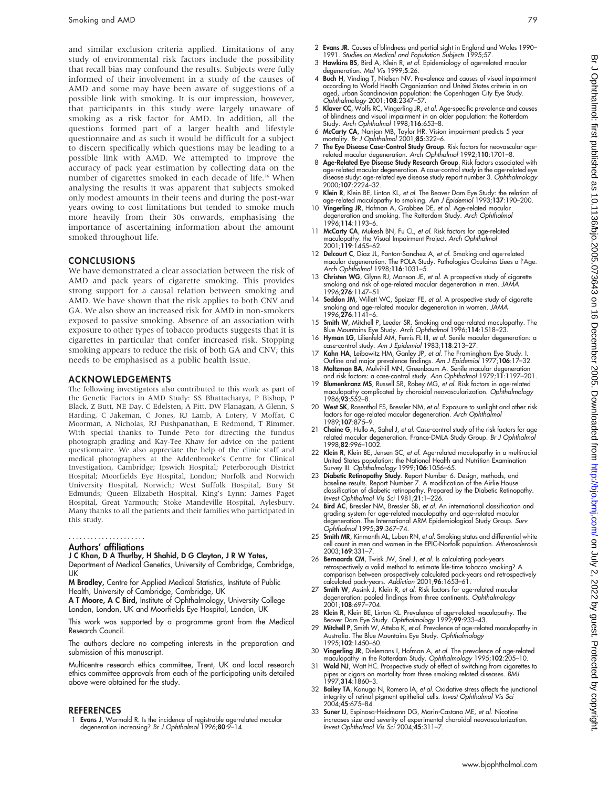and similar exclusion criteria applied. Limitations of any study of environmental risk factors include the possibility that recall bias may confound the results. Subjects were fully informed of their involvement in a study of the causes of AMD and some may have been aware of suggestions of a possible link with smoking. It is our impression, however, that participants in this study were largely unaware of smoking as a risk factor for AMD. In addition, all the questions formed part of a larger health and lifestyle questionnaire and as such it would be difficult for a subject to discern specifically which questions may be leading to a possible link with AMD. We attempted to improve the accuracy of pack year estimation by collecting data on the number of cigarettes smoked in each decade of life.<sup>26</sup> When analysing the results it was apparent that subjects smoked only modest amounts in their teens and during the post-war years owing to cost limitations but tended to smoke much more heavily from their 30s onwards, emphasising the importance of ascertaining information about the amount smoked throughout life.

#### CONCLUSIONS

We have demonstrated a clear association between the risk of AMD and pack years of cigarette smoking. This provides strong support for a causal relation between smoking and AMD. We have shown that the risk applies to both CNV and GA. We also show an increased risk for AMD in non-smokers exposed to passive smoking. Absence of an association with exposure to other types of tobacco products suggests that it is cigarettes in particular that confer increased risk. Stopping smoking appears to reduce the risk of both GA and CNV; this needs to be emphasised as a public health issue.

#### ACKNOWLEDGEMENTS

The following investigators also contributed to this work as part of the Genetic Factors in AMD Study: SS Bhattacharya, P Bishop, P Black, Z Butt, NE Day, C Edelsten, A Fitt, DW Flanagan, A Glenn, S Harding, C Jakeman, C Jones, RJ Lamb, A Lotery, V Moffat, C Moorman, A Nicholas, RJ Pushpanathan, E Redmond, T Rimmer. With special thanks to Tunde Peto for directing the fundus photograph grading and Kay-Tee Khaw for advice on the patient questionnaire. We also appreciate the help of the clinic staff and medical photographers at the Addenbrooke's Centre for Clinical Investigation, Cambridge; Ipswich Hospital; Peterborough District Hospital; Moorfields Eye Hospital, London; Norfolk and Norwich University Hospital, Norwich; West Suffolk Hospital, Bury St Edmunds; Queen Elizabeth Hospital, King's Lynn; James Paget Hospital, Great Yarmouth; Stoke Mandeville Hospital, Aylesbury. Many thanks to all the patients and their families who participated in this study.

#### Authors' affiliations .....................

# J C Khan, D A Thurlby, H Shahid, D G Clayton, J R W Yates,

Department of Medical Genetics, University of Cambridge, Cambridge, UK

M Bradley, Centre for Applied Medical Statistics, Institute of Public Health, University of Cambridge, Cambridge, UK

A T Moore, A C Bird, Institute of Ophthalmology, University College London, London, UK and Moorfields Eye Hospital, London, UK

This work was supported by a programme grant from the Medical Research Council.

The authors declare no competing interests in the preparation and submission of this manuscript.

Multicentre research ethics committee, Trent, UK and local research ethics committee approvals from each of the participating units detailed above were obtained for the study.

#### **REFERENCES**

1 Evans J, Wormald R. Is the incidence of registrable age-related macular degeneration increasing? Br J Ophthalmol 1996;80:9–14.

- 2 Evans JR. Causes of blindness and partial sight in England and Wales 1990– 1991. Studies on Medical and Population Subjects 1995;57.
- 3 Hawkins BS, Bird A, Klein R, et al. Epidemiology of age-related macular degeneration. Mol Vis 1999;5:26.
- 4 Buch H, Vinding T, Nielsen NV. Prevalence and causes of visual impairment according to World Health Organization and United States criteria in an aged, urban Scandinavian population: the Copenhagen City Eye Study.
- Ophthalmology 2001;**108**:2347–57.<br>5 **Klaver CC**, Wolfs RC, Vingerling JR, et al. Age-specific prevalence and causes<br>of blindness and visual impairment in an older population: the Rotterdam<br>Study. Arch Ophthalmol 1998;116:6
- 6 McCarty CA, Nanjan MB, Taylor HR. Vision impairment predicts 5 year mortality. Br J Ophthalmol 2001;85:322-6.
- 7 The Eye Disease Case-Control Study Group. Risk factors for neovascular age-related macular degeneration. Arch Ophthalmol 1992;110:1701–8.
- 8 Age-Related Eye Disease Study Research Group. Risk factors associated with age-related macular degeneration. A case-control study in the age-related eye disease study: age-related eye disease study report number 3. Ophthalmology  $2000 \cdot 107 \cdot 2224 - 32$
- 9 Klein R, Klein BE, Linton KL, et al. The Beaver Dam Eye Study: the relation of age-related maculopathy to smoking. Am J Epidemiol 1993;137:190–200.
- 10 Vingerling JR, Hofman A, Grobbee DE, et al. Age-related macular degeneration and smoking. The Rotterdam Study. *Arch Ophthalmol*<br>1996;**114**:1193–6.
- 11 McCarty CA, Mukesh BN, Fu CL, et al. Risk factors for age-related maculopathy: the Visual Impairment Project. Arch Ophthalmol 2001;119:1455–62.
- 12 Delcourt C, Diaz JL, Ponton-Sanchez A, et al. Smoking and age-related macular degeneration. The POLA Study. Pathologies Oculaires Liees a l'Age. Arch Ophthalmol 1998;116:1031-5.
- 13 Christen WG, Glynn RJ, Manson JE, et al. A prospective study of cigarette smoking and risk of age-related macular degeneration in men. JAMA 1996;276:1147–51.
- 14 Seddon JM, Willett WC, Speizer FE, et al. A prospective study of cigarette smoking and age-related macular degeneration in women. JAMA 1996;276:1141–6.
- 15 Smith W, Mitchell P, Leeder SR. Smoking and age-related maculopathy. The Blue Mountains Eye Study. Arch Ophthalmol 1996;114:1518–23.
- 16 **Hyman LG**, Lilienfeld AM, Ferris FL<sup>III</sup>I, *et al.* Senile macular degeneration: a case-control study. Am J Epidemiol 1983;118:213–27.
- 17 Kahn HA, Leibowitz HM, Ganley JP, et al. The Framingham Eye Study. I. Outline and major prevalence findings. Am J Epidemiol 1977;**106**:17–32.<br>18 M**altzman BA**, Mulvihill MN, Greenbaum A. Senile macular degeneration
- and risk factors: a case-control study. Ann Ophthalmol 1979;11:1197–201.
- 19 Blumenkranz MS, Russell SR, Robey MG, et al. Risk factors in age-related maculopathy complicated by choroidal neovascularization. Ophthalmology 1986;93:552-8.
- West SK, Rosenthal FS, Bressler NM, et al. Exposure to sunlight and other risk factors for age-related macular degeneration. Arch Ophthalmol 1989;107:875–9.
- 21 Chaine G, Hullo A, Sahel J, et al. Case-control study of the risk factors for age related macular degeneration. France-DMLA Study Group. *Br J Ophthalmol*<br>1998;**82**:996–1002.
- 22 **Klein R**, Klein BE, Jensen SC, *et al.* Age-related maculopathy in a multiracial<br>United States population: the National Health and Nutrition Examination<br>Survey III. *Ophthalmology* 1999;1**06**:1056–65.
- 23 Diabetic Retinopathy Study. Report Number 6. Design, methods, and baseline results. Report Number 7. A modification of the Airlie House classification of diabetic retinopathy. Prepared by the Diabetic Retinopathy. Invest Ophthalmol Vis Sci 1981;21:1–226.
- 24 Bird AC, Bressler NM, Bressler SB, et al. An international classification and grading system for age-related maculopathy and age-related macular degeneration. The International ARM Epidemiological Study Group. Surv Ophthalmol 1995;39:367–74.
- 25 Smith MR, Kinmonth AL, Luben RN, *et al.* Smoking status and differential white<br>cell count in men and women in the EPIC-Norfolk population. *Atherosclerosis* 2003;169:331–7.
- 26 Bernaards CM, Twisk JW, Snel J, et al. Is calculating pack-years retrospectively a valid method to estimate life-time tobacco smoking? A comparison between prospectively calculated pack-years and retrospectively calculated pack-years. Addiction 2001;96:1653-61.
- 27 Smith W, Assink J, Klein R, et al. Risk factors for age-related macular degeneration: pooled findings from three continents. *Ophthalmology*<br>2001;**108**:697–704.
- 28 Klein R, Klein BE, Linton KL. Prevalence of age-related maculopathy. The Beaver Dam Eye Study. Ophthalmology 1992;99:933-43.
- 29 Mitchell P, Smith W, Attebo K, et al. Prevalence of age-related maculopathy in Australia. The Blue Mountains Eye Study. Ophthalmology 1995;102:1450–60.
- 30 Vingerling JR, Dielemans I, Hofman A, et al. The prevalence of age-related
- maculopathy in the Rotterdam Study. Ophthalmology 1995;**102**:205–10.<br>31 Wald NJ, Watt HC. Prospective study of effect of switching from cigarettes to pipes or cigars on mortality from three smoking related diseases. BMJ 1997;314:1860–3.
- 32 Bailey TA, Kanuga N, Romero IA, et al. Oxidative stress affects the junctional integrity of retinal pigment epithelial cells. Invest Ophthalmol Vis Sci 2004;45:675–84.
- 33 Suner IJ, Espinosa-Heidmann DG, Marin-Castano ME, et al. Nicotine increases size and severity of experimental choroidal neovascularization. Invest Ophthalmol Vis Sci 2004;45:311–7.